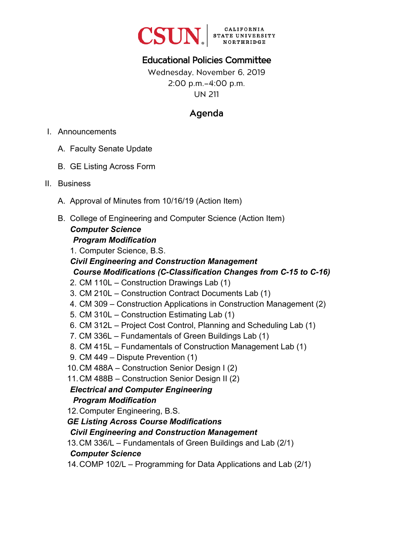

# Educational Policies Committee

Wednesday, November 6, 2019 2:00 p.m.–4:00 p.m. UN 211

# Agenda

- I. Announcements
	- A. Faculty Senate Update
	- B. GE Listing Across Form
- II. Business
	- A. Approval of Minutes from 10/16/19 (Action Item)
	- B. College of Engineering and Computer Science (Action Item) *Computer Science*

#### *Program Modification*

1. Computer Science, B.S.

*Civil Engineering and Construction Management Course Modifications (C-Classification Changes from C-15 to C-16)*

- 2. CM 110L Construction Drawings Lab (1)
- 3. CM 210L Construction Contract Documents Lab (1)
- 4. CM 309 Construction Applications in Construction Management (2)
- 5. CM 310L Construction Estimating Lab (1)
- 6. CM 312L Project Cost Control, Planning and Scheduling Lab (1)
- 7. CM 336L Fundamentals of Green Buildings Lab (1)
- 8. CM 415L Fundamentals of Construction Management Lab (1)
- 9. CM 449 Dispute Prevention (1)
- 10. CM 488A Construction Senior Design I (2)
- 11. CM 488B Construction Senior Design II (2)

# *Electrical and Computer Engineering*

#### *Program Modification*

- 12. Computer Engineering, B.S.
- *GE Listing Across Course Modifications*
- *Civil Engineering and Construction Management*

13.CM 336/L – Fundamentals of Green Buildings and Lab (2/1)

#### *Computer Science*

14. COMP 102/L – Programming for Data Applications and Lab (2/1)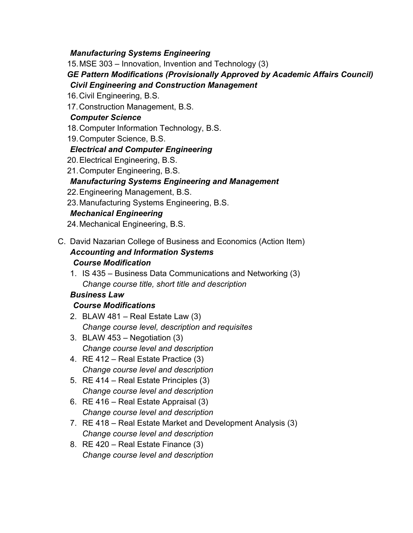#### *Manufacturing Systems Engineering*

15. MSE 303 – Innovation, Invention and Technology (3) *GE Pattern Modifications (Provisionally Approved by Academic Affairs Council) Civil Engineering and Construction Management* 

- 16. Civil Engineering, B.S.
- 17. Construction Management, B.S.

#### *Computer Science*

- 18. Computer Information Technology, B.S.
- 19. Computer Science, B.S.

#### *Electrical and Computer Engineering*

- 20. Electrical Engineering, B.S.
- 21. Computer Engineering, B.S.

#### *Manufacturing Systems Engineering and Management*

- 22. Engineering Management, B.S.
- 23. Manufacturing Systems Engineering, B.S.

#### *Mechanical Engineering*

- 24. Mechanical Engineering, B.S.
- C. David Nazarian College of Business and Economics (Action Item) *Accounting and Information Systems Course Modification* 
	- 1. IS 435 Business Data Communications and Networking (3) *Change course title, short title and description*

#### *Business Law*

#### *Course Modifications*

- 2. BLAW 481 Real Estate Law (3) *Change course level, description and requisites*
- 3. BLAW 453 Negotiation (3) *Change course level and description*
- 4. RE 412 Real Estate Practice (3) *Change course level and description*
- 5. RE 414 Real Estate Principles (3) *Change course level and description*
- 6. RE 416 Real Estate Appraisal (3) *Change course level and description*
- 7. RE 418 Real Estate Market and Development Analysis (3) *Change course level and description*
- 8. RE 420 Real Estate Finance (3) *Change course level and description*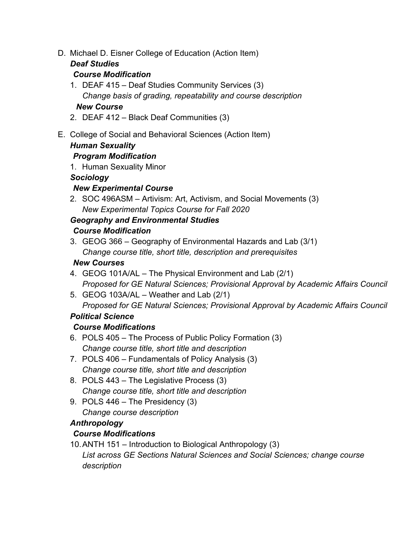D. Michael D. Eisner College of Education (Action Item)

#### *Deaf Studies*

#### *Course Modification*

- 1. DEAF 415 Deaf Studies Community Services (3) *Change basis of grading, repeatability and course description New Course*
- 2. DEAF 412 Black Deaf Communities (3)
- E. College of Social and Behavioral Sciences (Action Item)

## *Human Sexuality*

## *Program Modification*

1. Human Sexuality Minor

## *Sociology*

## *New Experimental Course*

2. SOC 496ASM – Artivism: Art, Activism, and Social Movements (3) *New Experimental Topics Course for Fall 2020*

## *Geography and Environmental Studies*

## *Course Modification*

3. GEOG 366 – Geography of Environmental Hazards and Lab (3/1) *Change course title, short title, description and prerequisites* 

## *New Courses*

- 4. GEOG 101A/AL The Physical Environment and Lab (2/1) *Proposed for GE Natural Sciences; Provisional Approval by Academic Affairs Council*
- 5. GEOG 103A/AL Weather and Lab (2/1) *Proposed for GE Natural Sciences; Provisional Approval by Academic Affairs Council*

## *Political Science*

## *Course Modifications*

- 6. POLS 405 The Process of Public Policy Formation (3) *Change course title, short title and description*
- 7. POLS 406 Fundamentals of Policy Analysis (3) *Change course title, short title and description*
- 8. POLS 443 The Legislative Process (3) *Change course title, short title and description*
- 9. POLS 446 The Presidency (3) *Change course description*

# *Anthropology*

## *Course Modifications*

10. ANTH 151 – Introduction to Biological Anthropology (3) *List across GE Sections Natural Sciences and Social Sciences; change course description*